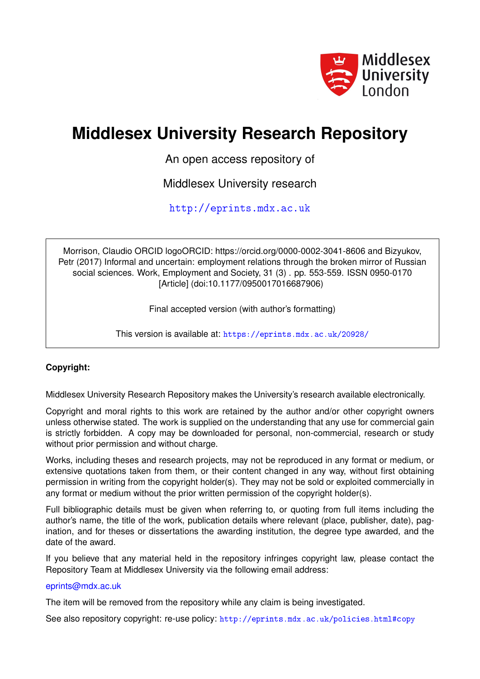

# **Middlesex University Research Repository**

An open access repository of

Middlesex University research

<http://eprints.mdx.ac.uk>

Morrison, Claudio ORCID logoORCID: https://orcid.org/0000-0002-3041-8606 and Bizyukov, Petr (2017) Informal and uncertain: employment relations through the broken mirror of Russian social sciences. Work, Employment and Society, 31 (3) . pp. 553-559. ISSN 0950-0170 [Article] (doi:10.1177/0950017016687906)

Final accepted version (with author's formatting)

This version is available at: <https://eprints.mdx.ac.uk/20928/>

## **Copyright:**

Middlesex University Research Repository makes the University's research available electronically.

Copyright and moral rights to this work are retained by the author and/or other copyright owners unless otherwise stated. The work is supplied on the understanding that any use for commercial gain is strictly forbidden. A copy may be downloaded for personal, non-commercial, research or study without prior permission and without charge.

Works, including theses and research projects, may not be reproduced in any format or medium, or extensive quotations taken from them, or their content changed in any way, without first obtaining permission in writing from the copyright holder(s). They may not be sold or exploited commercially in any format or medium without the prior written permission of the copyright holder(s).

Full bibliographic details must be given when referring to, or quoting from full items including the author's name, the title of the work, publication details where relevant (place, publisher, date), pagination, and for theses or dissertations the awarding institution, the degree type awarded, and the date of the award.

If you believe that any material held in the repository infringes copyright law, please contact the Repository Team at Middlesex University via the following email address:

#### [eprints@mdx.ac.uk](mailto:eprints@mdx.ac.uk)

The item will be removed from the repository while any claim is being investigated.

See also repository copyright: re-use policy: <http://eprints.mdx.ac.uk/policies.html#copy>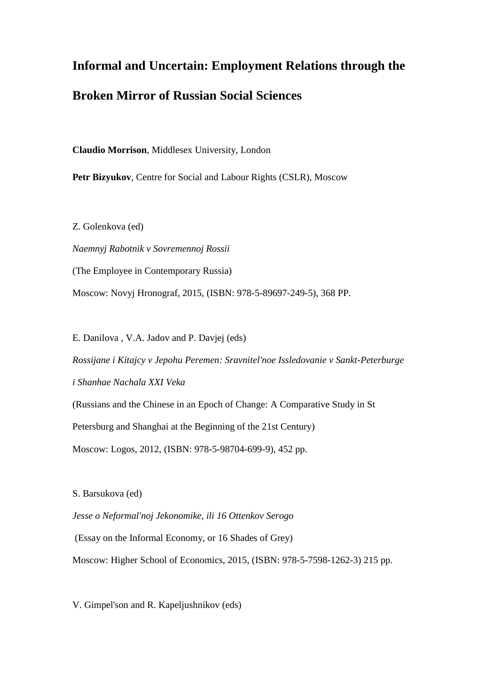# **Informal and Uncertain: Employment Relations through the Broken Mirror of Russian Social Sciences**

**Claudio Morrison**, Middlesex University, London

**Petr Bizyukov**, Centre for Social and Labour Rights (CSLR), Moscow

Z. Golenkova (ed) *Naemnyj Rabotnik v Sovremennoj Rossii*  (The Employee in Contemporary Russia) Moscow: Novyj Hronograf, 2015, (ISBN: 978-5-89697-249-5), 368 PP.

E. Danilova , V.A. Jadov and P. Davjej (eds) *Rossijane i Kitajcy v Jepohu Peremen: Sravnitel'noe Issledovanie v Sankt-Peterburge i Shanhae Nachala XXI Veka*  (Russians and the Chinese in an Epoch of Change: A Comparative Study in St Petersburg and Shanghai at the Beginning of the 21st Century) Moscow: Logos, 2012, (ISBN: 978-5-98704-699-9), 452 pp.

S. Barsukova (ed)

*Jesse o Neformal'noj Jekonomike, ili 16 Ottenkov Serogo*

(Essay on the Informal Economy, or 16 Shades of Grey)

Moscow: Higher School of Economics, 2015, (ISBN: 978-5-7598-1262-3) 215 pp.

V. Gimpel'son and R. Kapeljushnikov (eds)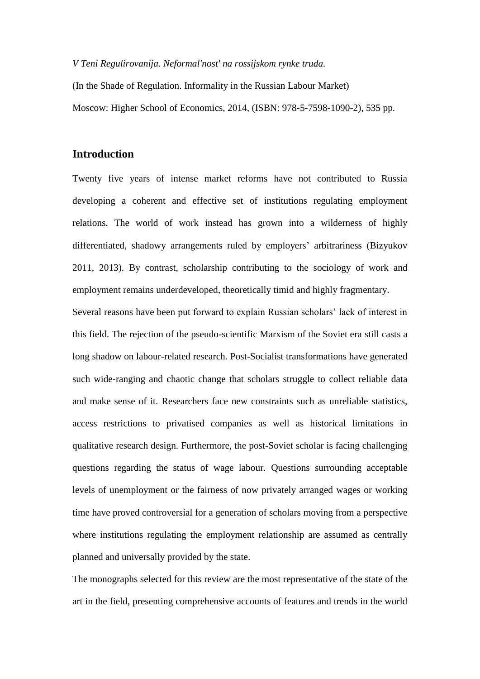#### *V Teni Regulirovanija. Neformal'nost' na rossijskom rynke truda.*

(In the Shade of Regulation. Informality in the Russian Labour Market) Moscow: Higher School of Economics, 2014, (ISBN: 978-5-7598-1090-2), 535 pp.

## **Introduction**

Twenty five years of intense market reforms have not contributed to Russia developing a coherent and effective set of institutions regulating employment relations. The world of work instead has grown into a wilderness of highly differentiated, shadowy arrangements ruled by employers' arbitrariness (Bizyukov 2011, 2013). By contrast, scholarship contributing to the sociology of work and employment remains underdeveloped, theoretically timid and highly fragmentary.

Several reasons have been put forward to explain Russian scholars' lack of interest in this field. The rejection of the pseudo-scientific Marxism of the Soviet era still casts a long shadow on labour-related research. Post-Socialist transformations have generated such wide-ranging and chaotic change that scholars struggle to collect reliable data and make sense of it. Researchers face new constraints such as unreliable statistics, access restrictions to privatised companies as well as historical limitations in qualitative research design. Furthermore, the post-Soviet scholar is facing challenging questions regarding the status of wage labour. Questions surrounding acceptable levels of unemployment or the fairness of now privately arranged wages or working time have proved controversial for a generation of scholars moving from a perspective where institutions regulating the employment relationship are assumed as centrally planned and universally provided by the state.

The monographs selected for this review are the most representative of the state of the art in the field, presenting comprehensive accounts of features and trends in the world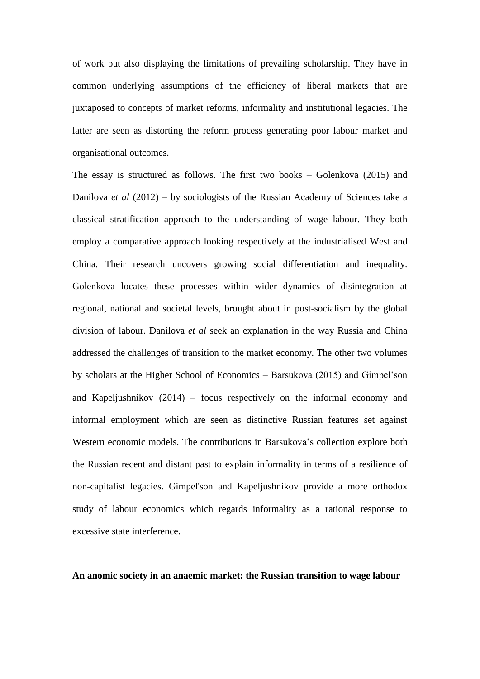of work but also displaying the limitations of prevailing scholarship. They have in common underlying assumptions of the efficiency of liberal markets that are juxtaposed to concepts of market reforms, informality and institutional legacies. The latter are seen as distorting the reform process generating poor labour market and organisational outcomes.

The essay is structured as follows. The first two books – Golenkova (2015) and Danilova *et al* (2012) – by sociologists of the Russian Academy of Sciences take a classical stratification approach to the understanding of wage labour. They both employ a comparative approach looking respectively at the industrialised West and China. Their research uncovers growing social differentiation and inequality. Golenkova locates these processes within wider dynamics of disintegration at regional, national and societal levels, brought about in post-socialism by the global division of labour. Danilova *et al* seek an explanation in the way Russia and China addressed the challenges of transition to the market economy. The other two volumes by scholars at the Higher School of Economics – Barsukova (2015) and Gimpel'son and Kapeljushnikov (2014) – focus respectively on the informal economy and informal employment which are seen as distinctive Russian features set against Western economic models. The contributions in Barsukova's collection explore both the Russian recent and distant past to explain informality in terms of a resilience of non-capitalist legacies. Gimpel'son and Kapeljushnikov provide a more orthodox study of labour economics which regards informality as a rational response to excessive state interference.

#### **An anomic society in an anaemic market: the Russian transition to wage labour**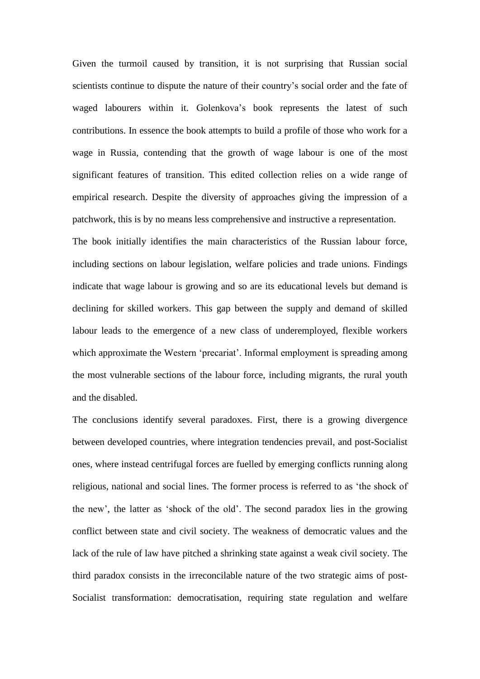Given the turmoil caused by transition, it is not surprising that Russian social scientists continue to dispute the nature of their country's social order and the fate of waged labourers within it. Golenkova's book represents the latest of such contributions. In essence the book attempts to build a profile of those who work for a wage in Russia, contending that the growth of wage labour is one of the most significant features of transition. This edited collection relies on a wide range of empirical research. Despite the diversity of approaches giving the impression of a patchwork, this is by no means less comprehensive and instructive a representation. The book initially identifies the main characteristics of the Russian labour force, including sections on labour legislation, welfare policies and trade unions. Findings indicate that wage labour is growing and so are its educational levels but demand is declining for skilled workers. This gap between the supply and demand of skilled labour leads to the emergence of a new class of underemployed, flexible workers

which approximate the Western 'precariat'. Informal employment is spreading among the most vulnerable sections of the labour force, including migrants, the rural youth and the disabled. The conclusions identify several paradoxes. First, there is a growing divergence

between developed countries, where integration tendencies prevail, and post-Socialist ones, where instead centrifugal forces are fuelled by emerging conflicts running along religious, national and social lines. The former process is referred to as 'the shock of the new', the latter as 'shock of the old'. The second paradox lies in the growing conflict between state and civil society. The weakness of democratic values and the lack of the rule of law have pitched a shrinking state against a weak civil society. The third paradox consists in the irreconcilable nature of the two strategic aims of post-Socialist transformation: democratisation, requiring state regulation and welfare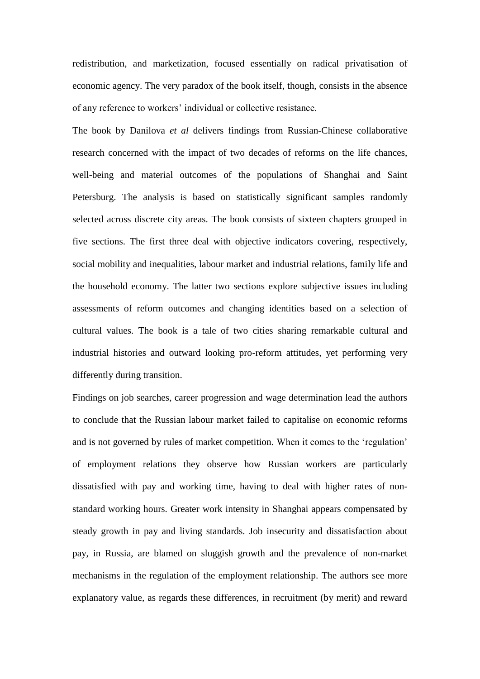redistribution, and marketization, focused essentially on radical privatisation of economic agency. The very paradox of the book itself, though, consists in the absence of any reference to workers' individual or collective resistance.

The book by Danilova *et al* delivers findings from Russian-Chinese collaborative research concerned with the impact of two decades of reforms on the life chances, well-being and material outcomes of the populations of Shanghai and Saint Petersburg. The analysis is based on statistically significant samples randomly selected across discrete city areas. The book consists of sixteen chapters grouped in five sections. The first three deal with objective indicators covering, respectively, social mobility and inequalities, labour market and industrial relations, family life and the household economy. The latter two sections explore subjective issues including assessments of reform outcomes and changing identities based on a selection of cultural values. The book is a tale of two cities sharing remarkable cultural and industrial histories and outward looking pro-reform attitudes, yet performing very differently during transition.

Findings on job searches, career progression and wage determination lead the authors to conclude that the Russian labour market failed to capitalise on economic reforms and is not governed by rules of market competition. When it comes to the 'regulation' of employment relations they observe how Russian workers are particularly dissatisfied with pay and working time, having to deal with higher rates of nonstandard working hours. Greater work intensity in Shanghai appears compensated by steady growth in pay and living standards. Job insecurity and dissatisfaction about pay, in Russia, are blamed on sluggish growth and the prevalence of non-market mechanisms in the regulation of the employment relationship. The authors see more explanatory value, as regards these differences, in recruitment (by merit) and reward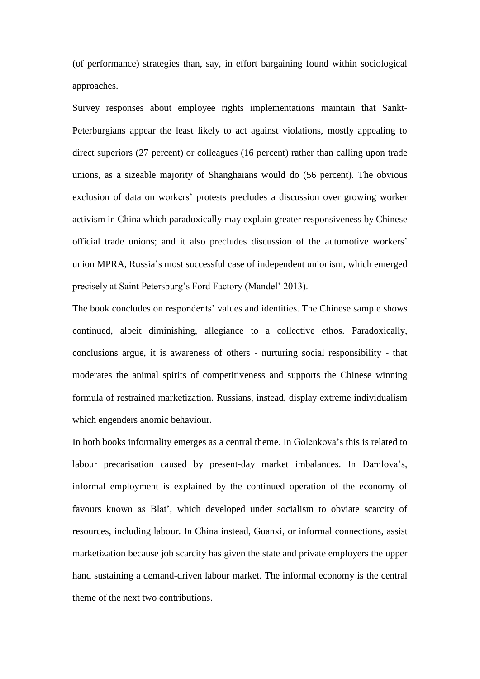(of performance) strategies than, say, in effort bargaining found within sociological approaches.

Survey responses about employee rights implementations maintain that Sankt-Peterburgians appear the least likely to act against violations, mostly appealing to direct superiors (27 percent) or colleagues (16 percent) rather than calling upon trade unions, as a sizeable majority of Shanghaians would do (56 percent). The obvious exclusion of data on workers' protests precludes a discussion over growing worker activism in China which paradoxically may explain greater responsiveness by Chinese official trade unions; and it also precludes discussion of the automotive workers' union MPRA, Russia's most successful case of independent unionism, which emerged precisely at Saint Petersburg's Ford Factory (Mandel' 2013).

The book concludes on respondents' values and identities. The Chinese sample shows continued, albeit diminishing, allegiance to a collective ethos. Paradoxically, conclusions argue, it is awareness of others - nurturing social responsibility - that moderates the animal spirits of competitiveness and supports the Chinese winning formula of restrained marketization. Russians, instead, display extreme individualism which engenders anomic behaviour.

In both books informality emerges as a central theme. In Golenkova's this is related to labour precarisation caused by present-day market imbalances. In Danilova's, informal employment is explained by the continued operation of the economy of favours known as Blat', which developed under socialism to obviate scarcity of resources, including labour. In China instead, Guanxi, or informal connections, assist marketization because job scarcity has given the state and private employers the upper hand sustaining a demand-driven labour market. The informal economy is the central theme of the next two contributions.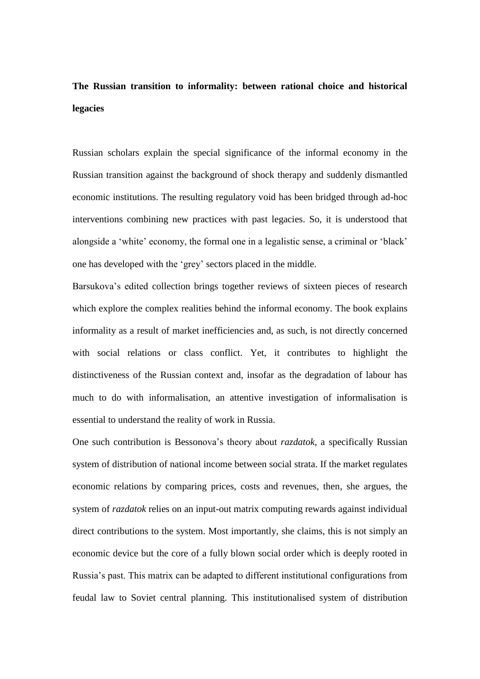# **The Russian transition to informality: between rational choice and historical legacies**

Russian scholars explain the special significance of the informal economy in the Russian transition against the background of shock therapy and suddenly dismantled economic institutions. The resulting regulatory void has been bridged through ad-hoc interventions combining new practices with past legacies. So, it is understood that alongside a 'white' economy, the formal one in a legalistic sense, a criminal or 'black' one has developed with the 'grey' sectors placed in the middle.

Barsukova's edited collection brings together reviews of sixteen pieces of research which explore the complex realities behind the informal economy. The book explains informality as a result of market inefficiencies and, as such, is not directly concerned with social relations or class conflict. Yet, it contributes to highlight the distinctiveness of the Russian context and, insofar as the degradation of labour has much to do with informalisation, an attentive investigation of informalisation is essential to understand the reality of work in Russia.

One such contribution is Bessonova's theory about *razdatok*, a specifically Russian system of distribution of national income between social strata. If the market regulates economic relations by comparing prices, costs and revenues, then, she argues, the system of *razdatok* relies on an input-out matrix computing rewards against individual direct contributions to the system. Most importantly, she claims, this is not simply an economic device but the core of a fully blown social order which is deeply rooted in Russia's past. This matrix can be adapted to different institutional configurations from feudal law to Soviet central planning. This institutionalised system of distribution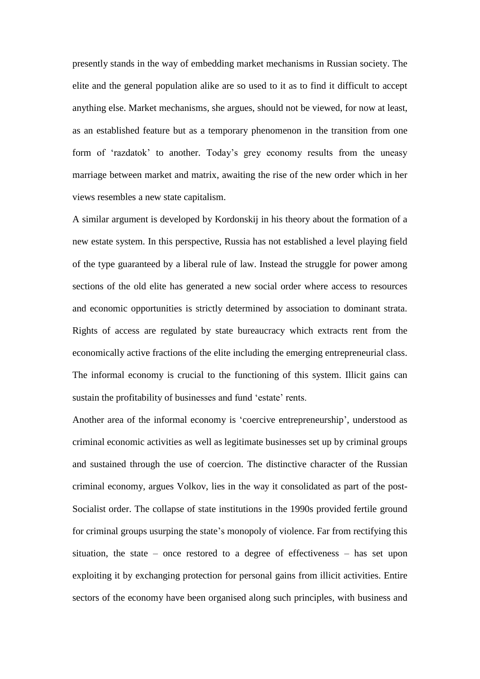presently stands in the way of embedding market mechanisms in Russian society. The elite and the general population alike are so used to it as to find it difficult to accept anything else. Market mechanisms, she argues, should not be viewed, for now at least, as an established feature but as a temporary phenomenon in the transition from one form of 'razdatok' to another. Today's grey economy results from the uneasy marriage between market and matrix, awaiting the rise of the new order which in her views resembles a new state capitalism.

A similar argument is developed by Kordonskij in his theory about the formation of a new estate system. In this perspective, Russia has not established a level playing field of the type guaranteed by a liberal rule of law. Instead the struggle for power among sections of the old elite has generated a new social order where access to resources and economic opportunities is strictly determined by association to dominant strata. Rights of access are regulated by state bureaucracy which extracts rent from the economically active fractions of the elite including the emerging entrepreneurial class. The informal economy is crucial to the functioning of this system. Illicit gains can sustain the profitability of businesses and fund 'estate' rents.

Another area of the informal economy is 'coercive entrepreneurship', understood as criminal economic activities as well as legitimate businesses set up by criminal groups and sustained through the use of coercion. The distinctive character of the Russian criminal economy, argues Volkov, lies in the way it consolidated as part of the post-Socialist order. The collapse of state institutions in the 1990s provided fertile ground for criminal groups usurping the state's monopoly of violence. Far from rectifying this situation, the state – once restored to a degree of effectiveness – has set upon exploiting it by exchanging protection for personal gains from illicit activities. Entire sectors of the economy have been organised along such principles, with business and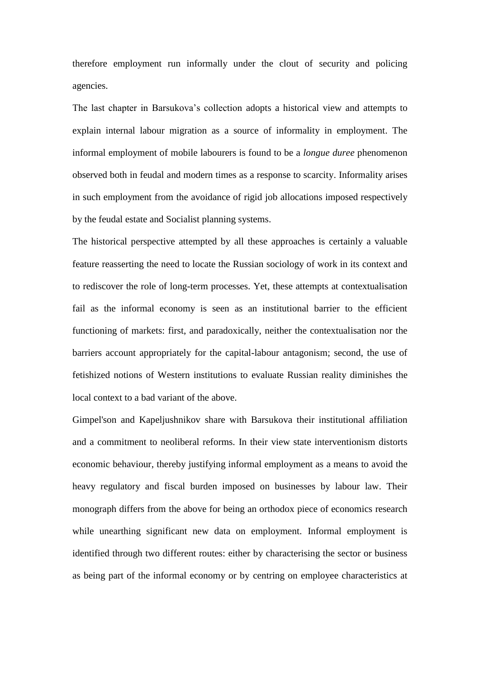therefore employment run informally under the clout of security and policing agencies.

The last chapter in Barsukova's collection adopts a historical view and attempts to explain internal labour migration as a source of informality in employment. The informal employment of mobile labourers is found to be a *longue duree* phenomenon observed both in feudal and modern times as a response to scarcity. Informality arises in such employment from the avoidance of rigid job allocations imposed respectively by the feudal estate and Socialist planning systems.

The historical perspective attempted by all these approaches is certainly a valuable feature reasserting the need to locate the Russian sociology of work in its context and to rediscover the role of long-term processes. Yet, these attempts at contextualisation fail as the informal economy is seen as an institutional barrier to the efficient functioning of markets: first, and paradoxically, neither the contextualisation nor the barriers account appropriately for the capital-labour antagonism; second, the use of fetishized notions of Western institutions to evaluate Russian reality diminishes the local context to a bad variant of the above.

Gimpel'son and Kapeljushnikov share with Barsukova their institutional affiliation and a commitment to neoliberal reforms. In their view state interventionism distorts economic behaviour, thereby justifying informal employment as a means to avoid the heavy regulatory and fiscal burden imposed on businesses by labour law. Their monograph differs from the above for being an orthodox piece of economics research while unearthing significant new data on employment. Informal employment is identified through two different routes: either by characterising the sector or business as being part of the informal economy or by centring on employee characteristics at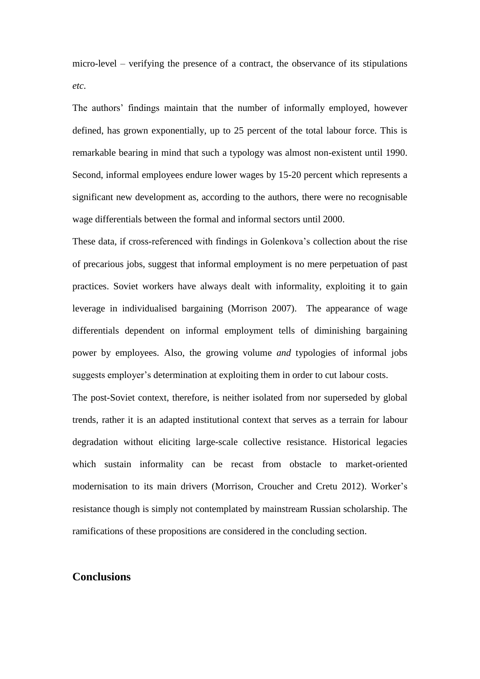micro-level – verifying the presence of a contract, the observance of its stipulations *etc*.

The authors' findings maintain that the number of informally employed, however defined, has grown exponentially, up to 25 percent of the total labour force. This is remarkable bearing in mind that such a typology was almost non-existent until 1990. Second, informal employees endure lower wages by 15-20 percent which represents a significant new development as, according to the authors, there were no recognisable wage differentials between the formal and informal sectors until 2000.

These data, if cross-referenced with findings in Golenkova's collection about the rise of precarious jobs, suggest that informal employment is no mere perpetuation of past practices. Soviet workers have always dealt with informality, exploiting it to gain leverage in individualised bargaining (Morrison 2007). The appearance of wage differentials dependent on informal employment tells of diminishing bargaining power by employees. Also, the growing volume *and* typologies of informal jobs suggests employer's determination at exploiting them in order to cut labour costs.

The post-Soviet context, therefore, is neither isolated from nor superseded by global trends, rather it is an adapted institutional context that serves as a terrain for labour degradation without eliciting large-scale collective resistance. Historical legacies which sustain informality can be recast from obstacle to market-oriented modernisation to its main drivers (Morrison, Croucher and Cretu 2012). Worker's resistance though is simply not contemplated by mainstream Russian scholarship. The ramifications of these propositions are considered in the concluding section.

### **Conclusions**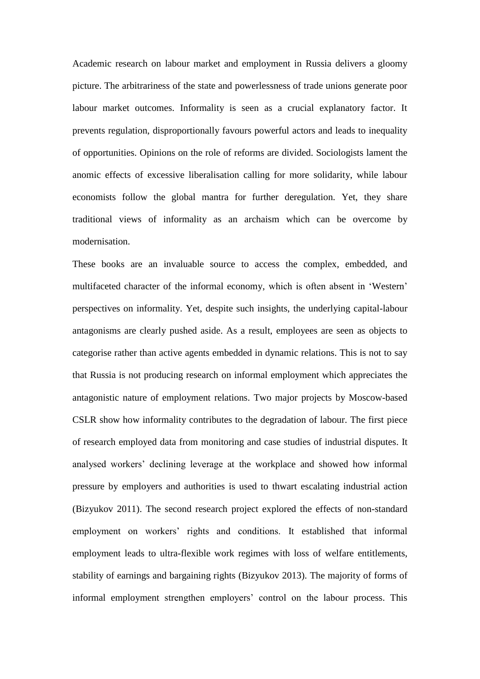Academic research on labour market and employment in Russia delivers a gloomy picture. The arbitrariness of the state and powerlessness of trade unions generate poor labour market outcomes. Informality is seen as a crucial explanatory factor. It prevents regulation, disproportionally favours powerful actors and leads to inequality of opportunities. Opinions on the role of reforms are divided. Sociologists lament the anomic effects of excessive liberalisation calling for more solidarity, while labour economists follow the global mantra for further deregulation. Yet, they share traditional views of informality as an archaism which can be overcome by modernisation.

These books are an invaluable source to access the complex, embedded, and multifaceted character of the informal economy, which is often absent in 'Western' perspectives on informality. Yet, despite such insights, the underlying capital-labour antagonisms are clearly pushed aside. As a result, employees are seen as objects to categorise rather than active agents embedded in dynamic relations. This is not to say that Russia is not producing research on informal employment which appreciates the antagonistic nature of employment relations. Two major projects by Moscow-based CSLR show how informality contributes to the degradation of labour. The first piece of research employed data from monitoring and case studies of industrial disputes. It analysed workers' declining leverage at the workplace and showed how informal pressure by employers and authorities is used to thwart escalating industrial action (Bizyukov 2011). The second research project explored the effects of non-standard employment on workers' rights and conditions. It established that informal employment leads to ultra-flexible work regimes with loss of welfare entitlements, stability of earnings and bargaining rights (Bizyukov 2013). The majority of forms of informal employment strengthen employers' control on the labour process. This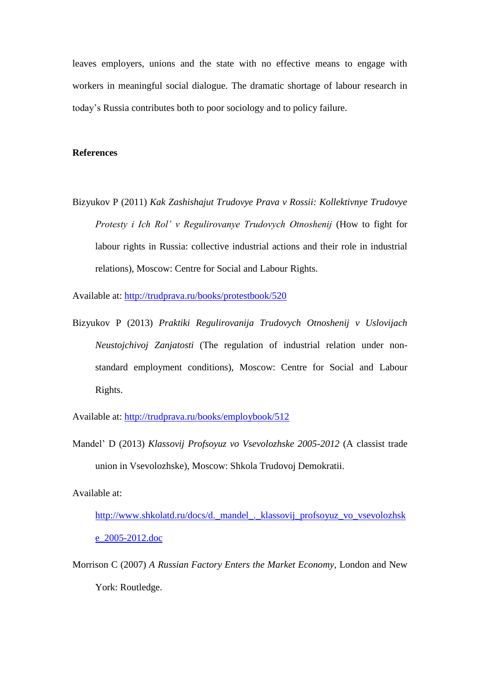leaves employers, unions and the state with no effective means to engage with workers in meaningful social dialogue. The dramatic shortage of labour research in today's Russia contributes both to poor sociology and to policy failure.

#### **References**

Bizyukov P (2011) *Kak Zashishajut Trudovye Prava v Rossii: Kollektivnye Trudovye Protesty i Ich Rol' v Regulirovanye Trudovych Otnoshenij* (How to fight for labour rights in Russia: collective industrial actions and their role in industrial relations), Moscow: Centre for Social and Labour Rights.

Available at:<http://trudprava.ru/books/protestbook/520>

Bizyukov P (2013) *Praktiki Regulirovanija Trudovych Otnoshenij v Uslovijach Neustojchivoj Zanjatosti* (The regulation of industrial relation under nonstandard employment conditions), Moscow: Centre for Social and Labour Rights.

Available at:<http://trudprava.ru/books/employbook/512>

Mandel' D (2013) *Klassovij Profsoyuz vo Vsevolozhske 2005-2012* (A classist trade union in Vsevolozhske), Moscow: Shkola Trudovoj Demokratii.

Available at:

[http://www.shkolatd.ru/docs/d.\\_mandel\\_.\\_klassovij\\_profsoyuz\\_vo\\_vsevolozhsk](http://www.shkolatd.ru/docs/d._mandel_._klassovij_profsoyuz_vo_vsevolozhske_2005-2012.doc) [e\\_2005-2012.doc](http://www.shkolatd.ru/docs/d._mandel_._klassovij_profsoyuz_vo_vsevolozhske_2005-2012.doc)

Morrison C (2007) *A Russian Factory Enters the Market Economy*, London and New York: Routledge.